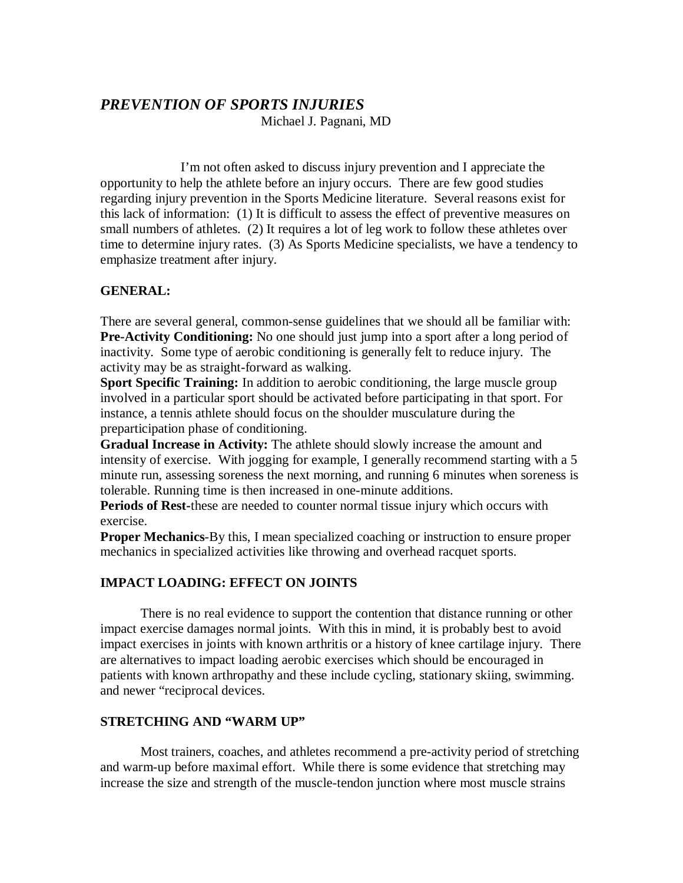# *PREVENTION OF SPORTS INJURIES*

Michael J. Pagnani, MD

 I'm not often asked to discuss injury prevention and I appreciate the opportunity to help the athlete before an injury occurs. There are few good studies regarding injury prevention in the Sports Medicine literature. Several reasons exist for this lack of information: (1) It is difficult to assess the effect of preventive measures on small numbers of athletes. (2) It requires a lot of leg work to follow these athletes over time to determine injury rates. (3) As Sports Medicine specialists, we have a tendency to emphasize treatment after injury.

### **GENERAL:**

There are several general, common-sense guidelines that we should all be familiar with: **Pre-Activity Conditioning:** No one should just jump into a sport after a long period of inactivity. Some type of aerobic conditioning is generally felt to reduce injury. The activity may be as straight-forward as walking.

**Sport Specific Training:** In addition to aerobic conditioning, the large muscle group involved in a particular sport should be activated before participating in that sport. For instance, a tennis athlete should focus on the shoulder musculature during the preparticipation phase of conditioning.

**Gradual Increase in Activity:** The athlete should slowly increase the amount and intensity of exercise. With jogging for example, I generally recommend starting with a 5 minute run, assessing soreness the next morning, and running 6 minutes when soreness is tolerable. Running time is then increased in one-minute additions.

**Periods of Rest-**these are needed to counter normal tissue injury which occurs with exercise.

**Proper Mechanics**-By this, I mean specialized coaching or instruction to ensure proper mechanics in specialized activities like throwing and overhead racquet sports.

## **IMPACT LOADING: EFFECT ON JOINTS**

 There is no real evidence to support the contention that distance running or other impact exercise damages normal joints. With this in mind, it is probably best to avoid impact exercises in joints with known arthritis or a history of knee cartilage injury. There are alternatives to impact loading aerobic exercises which should be encouraged in patients with known arthropathy and these include cycling, stationary skiing, swimming. and newer "reciprocal devices.

### **STRETCHING AND "WARM UP"**

 Most trainers, coaches, and athletes recommend a pre-activity period of stretching and warm-up before maximal effort. While there is some evidence that stretching may increase the size and strength of the muscle-tendon junction where most muscle strains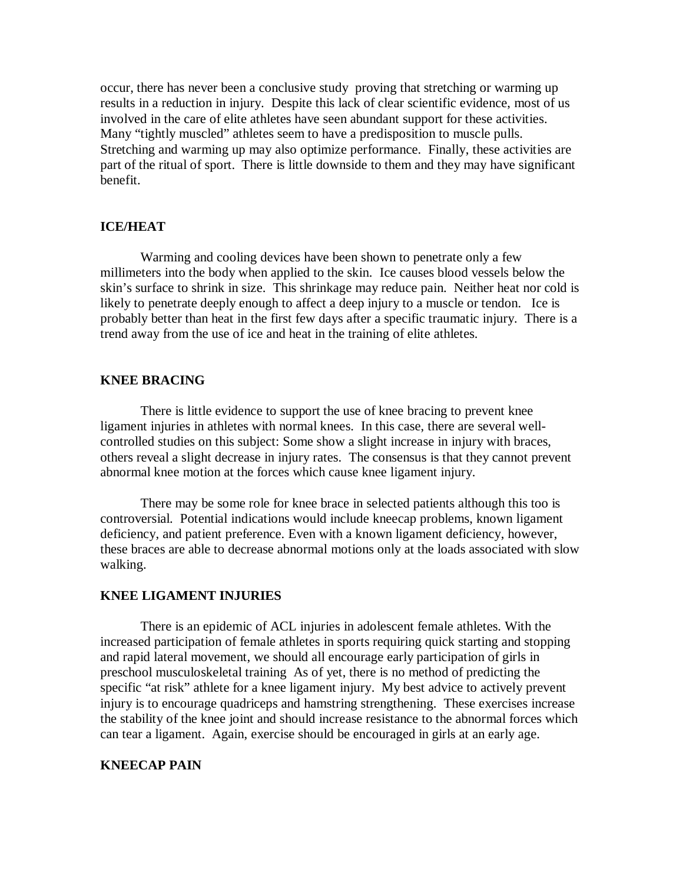occur, there has never been a conclusive study proving that stretching or warming up results in a reduction in injury. Despite this lack of clear scientific evidence, most of us involved in the care of elite athletes have seen abundant support for these activities. Many "tightly muscled" athletes seem to have a predisposition to muscle pulls. Stretching and warming up may also optimize performance. Finally, these activities are part of the ritual of sport. There is little downside to them and they may have significant benefit.

### **ICE/HEAT**

 Warming and cooling devices have been shown to penetrate only a few millimeters into the body when applied to the skin. Ice causes blood vessels below the skin's surface to shrink in size. This shrinkage may reduce pain. Neither heat nor cold is likely to penetrate deeply enough to affect a deep injury to a muscle or tendon. Ice is probably better than heat in the first few days after a specific traumatic injury. There is a trend away from the use of ice and heat in the training of elite athletes.

### **KNEE BRACING**

 There is little evidence to support the use of knee bracing to prevent knee ligament injuries in athletes with normal knees. In this case, there are several wellcontrolled studies on this subject: Some show a slight increase in injury with braces, others reveal a slight decrease in injury rates. The consensus is that they cannot prevent abnormal knee motion at the forces which cause knee ligament injury.

 There may be some role for knee brace in selected patients although this too is controversial. Potential indications would include kneecap problems, known ligament deficiency, and patient preference. Even with a known ligament deficiency, however, these braces are able to decrease abnormal motions only at the loads associated with slow walking.

### **KNEE LIGAMENT INJURIES**

 There is an epidemic of ACL injuries in adolescent female athletes. With the increased participation of female athletes in sports requiring quick starting and stopping and rapid lateral movement, we should all encourage early participation of girls in preschool musculoskeletal training As of yet, there is no method of predicting the specific "at risk" athlete for a knee ligament injury. My best advice to actively prevent injury is to encourage quadriceps and hamstring strengthening. These exercises increase the stability of the knee joint and should increase resistance to the abnormal forces which can tear a ligament. Again, exercise should be encouraged in girls at an early age.

### **KNEECAP PAIN**